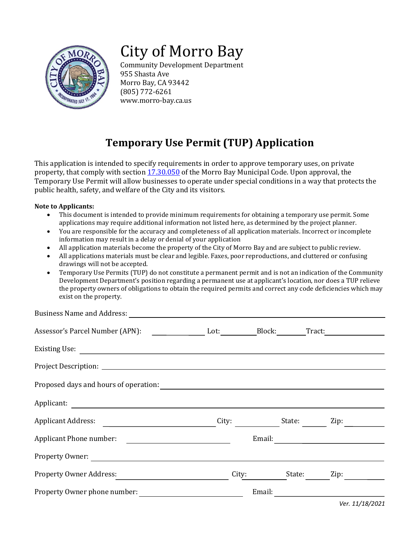

# City of Morro Bay

Community Development Department 955 Shasta Ave Morro Bay, CA 93442 (805) 772-6261 www.morro-bay.ca.us

## **Temporary Use Permit (TUP) Application**

This application is intended to specify requirements in order to approve temporary uses, on private property, that comply with section [17.30.050](https://library.municode.com/ca/morro_bay/codes/code_of_ordinances?nodeId=TIT17ZO_CH17.30SPUS_17.30.050TEUSPE) of the Morro Bay Municipal Code. Upon approval, the Temporary Use Permit will allow businesses to operate under special conditions in a way that protects the public health, safety, and welfare of the City and its visitors.

#### **Note to Applicants:**

- This document is intended to provide minimum requirements for obtaining a temporary use permit. Some applications may require additional information not listed here, as determined by the project planner.
- You are responsible for the accuracy and completeness of all application materials. Incorrect or incomplete information may result in a delay or denial of your application
- All application materials become the property of the City of Morro Bay and are subject to public review.
- All applications materials must be clear and legible. Faxes, poor reproductions, and cluttered or confusing drawings will not be accepted.
- Temporary Use Permits (TUP) do not constitute a permanent permit and is not an indication of the Community Development Department's position regarding a permanent use at applicant's location, nor does a TUP relieve the property owners of obligations to obtain the required permits and correct any code deficiencies which may exist on the property.

| Business Name and Address:                         |       |                 |        |
|----------------------------------------------------|-------|-----------------|--------|
| Assessor's Parcel Number (APN): Lot: Block: Block: |       |                 | Tract: |
|                                                    |       |                 |        |
|                                                    |       |                 |        |
|                                                    |       |                 |        |
|                                                    |       |                 |        |
| Applicant Address:                                 | City: | State:          | Zip:   |
| Applicant Phone number:                            |       |                 |        |
|                                                    |       |                 |        |
| Property Owner Address:                            |       | City:<br>State: | Zip:   |
| Property Owner phone number:                       |       | Email:          |        |

*Ver. 11/18/2021*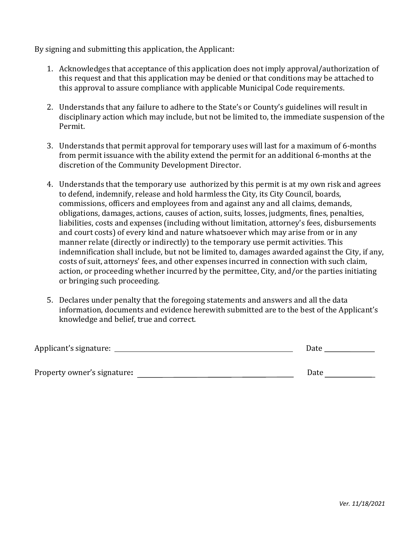By signing and submitting this application, the Applicant:

- 1. Acknowledges that acceptance of this application does not imply approval/authorization of this request and that this application may be denied or that conditions may be attached to this approval to assure compliance with applicable Municipal Code requirements.
- 2. Understands that any failure to adhere to the State's or County's guidelines will result in disciplinary action which may include, but not be limited to, the immediate suspension of the Permit.
- 3. Understands that permit approval for temporary uses will last for a maximum of 6-months from permit issuance with the ability extend the permit for an additional 6-months at the discretion of the Community Development Director.
- 4. Understands that the temporary use authorized by this permit is at my own risk and agrees to defend, indemnify, release and hold harmless the City, its City Council, boards, commissions, officers and employees from and against any and all claims, demands, obligations, damages, actions, causes of action, suits, losses, judgments, fines, penalties, liabilities, costs and expenses (including without limitation, attorney's fees, disbursements and court costs) of every kind and nature whatsoever which may arise from or in any manner relate (directly or indirectly) to the temporary use permit activities. This indemnification shall include, but not be limited to, damages awarded against the City, if any, costs of suit, attorneys' fees, and other expenses incurred in connection with such claim, action, or proceeding whether incurred by the permittee, City, and/or the parties initiating or bringing such proceeding.
- 5. Declares under penalty that the foregoing statements and answers and all the data information, documents and evidence herewith submitted are to the best of the Applicant's knowledge and belief, true and correct.

| Applicant's signature:      | Date |
|-----------------------------|------|
| Property owner's signature: | Date |